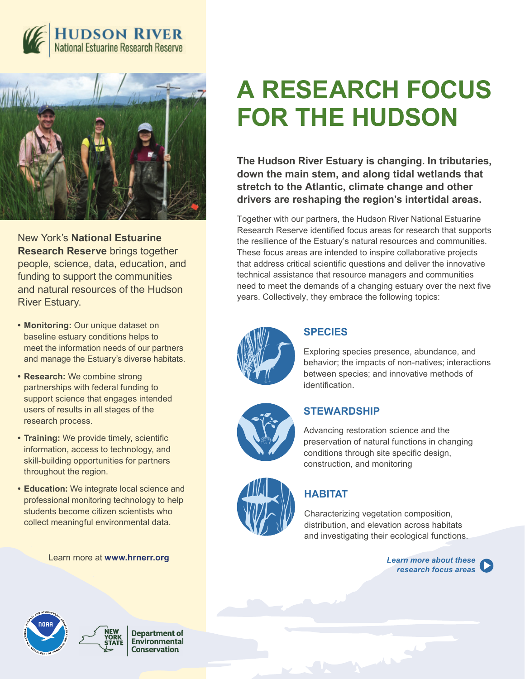



New York's **National Estuarine Research Reserve** brings together people, science, data, education, and funding to support the communities and natural resources of the Hudson River Estuary.

- **• Monitoring:** Our unique dataset on baseline estuary conditions helps to meet the information needs of our partners and manage the Estuary's diverse habitats.
- **• Research:** We combine strong partnerships with federal funding to support science that engages intended users of results in all stages of the research process.
- **• Training:** We provide timely, scientific information, access to technology, and skill-building opportunities for partners throughout the region.
- **• Education:** We integrate local science and professional monitoring technology to help students become citizen scientists who collect meaningful environmental data.

Learn more at **www.hrnerr.org** *Learn more about these* 

# **A RESEARCH FOCUS FOR THE HUDSON**

**The Hudson River Estuary is changing. In tributaries, down the main stem, and along tidal wetlands that stretch to the Atlantic, climate change and other drivers are reshaping the region's intertidal areas.**

Together with our partners, the Hudson River National Estuarine Research Reserve identified focus areas for research that supports the resilience of the Estuary's natural resources and communities. These focus areas are intended to inspire collaborative projects that address critical scientific questions and deliver the innovative technical assistance that resource managers and communities need to meet the demands of a changing estuary over the next five years. Collectively, they embrace the following topics:



#### **SPECIES**

Exploring species presence, abundance, and behavior; the impacts of non-natives; interactions between species; and innovative methods of identification.



#### **STEWARDSHIP**

Advancing restoration science and the preservation of natural functions in changing conditions through site specific design, construction, and monitoring



### **HABITAT**

Characterizing vegetation composition, distribution, and elevation across habitats and investigating their ecological functions.

*research focus areas*



**Department of** Environmental **Conservation**